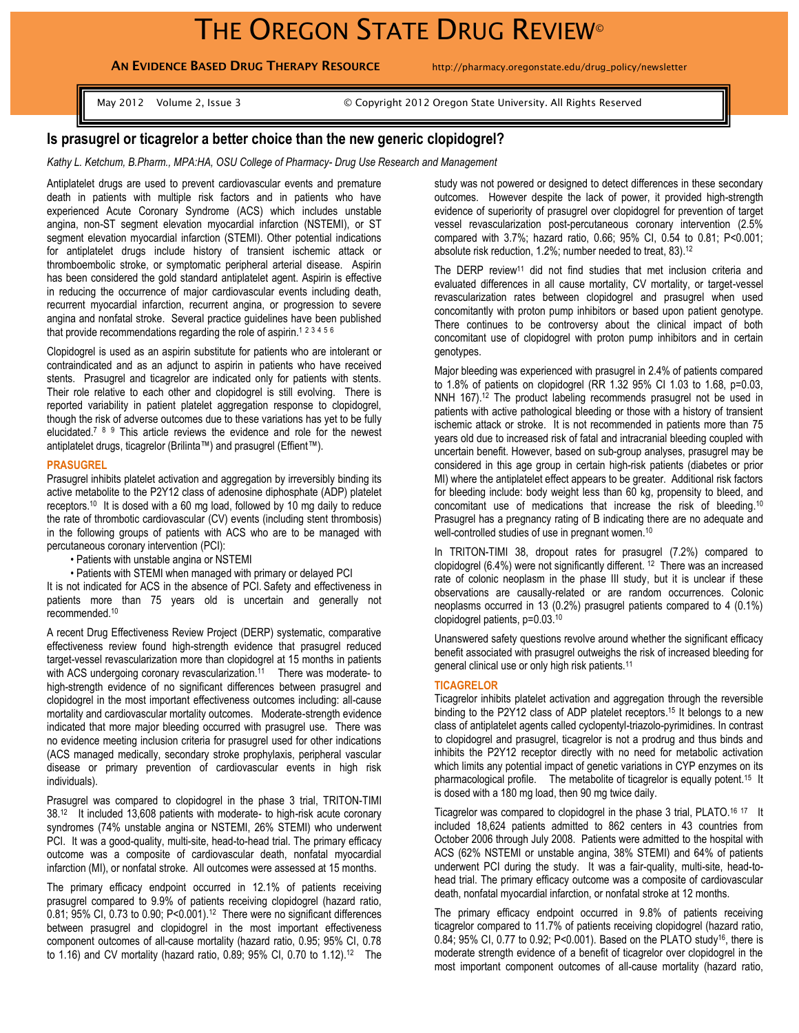# THE OREGON STATE DRUG REVIEW®

**AN EVIDENCE BASED DRUG THERAPY RESOURCE** http://pharmacy.oregonstate.edu/drug\_policy/newsletter

May 2012 Volume 2, Issue 3 © Copyright 2012 Oregon State University. All Rights Reserved

## **Is prasugrel or ticagrelor a better choice than the new generic clopidogrel?**

*Kathy L. Ketchum, B.Pharm., MPA:HA, OSU College of Pharmacy- Drug Use Research and Management*

Antiplatelet drugs are used to prevent cardiovascular events and premature death in patients with multiple risk factors and in patients who have experienced Acute Coronary Syndrome (ACS) which includes unstable angina, non-ST segment elevation myocardial infarction (NSTEMI), or ST segment elevation myocardial infarction (STEMI). Other potential indications for antiplatelet drugs include history of transient ischemic attack or thromboembolic stroke, or symptomatic peripheral arterial disease. Aspirin has been considered the gold standard antiplatelet agent. Aspirin is effective in reducing the occurrence of major cardiovascular events including death, recurrent myocardial infarction, recurrent angina, or progression to severe angina and nonfatal stroke. Several practice guidelines have been published that provide recommendations regarding the role of aspirin.<sup>123456</sup>

Clopidogrel is used as an aspirin substitute for patients who are intolerant or contraindicated and as an adjunct to aspirin in patients who have received stents. Prasugrel and ticagrelor are indicated only for patients with stents. Their role relative to each other and clopidogrel is still evolving. There is reported variability in patient platelet aggregation response to clopidogrel, though the risk of adverse outcomes due to these variations has yet to be fully elucidated.<sup>7</sup> 8 9 This article reviews the evidence and role for the newest antiplatelet drugs, ticagrelor (Brilinta™) and prasugrel (Effient™).

### **PRASUGREL**

Prasugrel inhibits platelet activation and aggregation by irreversibly binding its active metabolite to the P2Y12 class of adenosine diphosphate (ADP) platelet receptors.<sup>10</sup> It is dosed with a 60 mg load, followed by 10 mg daily to reduce the rate of thrombotic cardiovascular (CV) events (including stent thrombosis) in the following groups of patients with ACS who are to be managed with percutaneous coronary intervention (PCI):

• Patients with unstable angina or NSTEMI

• Patients with STEMI when managed with primary or delayed PCI

It is not indicated for ACS in the absence of PCI. Safety and effectiveness in patients more than 75 years old is uncertain and generally not recommended. 10

A recent Drug Effectiveness Review Project (DERP) systematic, comparative effectiveness review found high-strength evidence that prasugrel reduced target-vessel revascularization more than clopidogrel at 15 months in patients with ACS undergoing coronary revascularization.<sup>11</sup> There was moderate- to high-strength evidence of no significant differences between prasugrel and clopidogrel in the most important effectiveness outcomes including: all-cause mortality and cardiovascular mortality outcomes. Moderate-strength evidence indicated that more major bleeding occurred with prasugrel use. There was no evidence meeting inclusion criteria for prasugrel used for other indications (ACS managed medically, secondary stroke prophylaxis, peripheral vascular disease or primary prevention of cardiovascular events in high risk individuals).

Prasugrel was compared to clopidogrel in the phase 3 trial, TRITON-TIMI 38.<sup>12</sup> It included 13,608 patients with moderate- to high-risk acute coronary syndromes (74% unstable angina or NSTEMI, 26% STEMI) who underwent PCI. It was a good-quality, multi-site, head-to-head trial. The primary efficacy outcome was a composite of cardiovascular death, nonfatal myocardial infarction (MI), or nonfatal stroke. All outcomes were assessed at 15 months.

The primary efficacy endpoint occurred in 12.1% of patients receiving prasugrel compared to 9.9% of patients receiving clopidogrel (hazard ratio, 0.81; 95% CI, 0.73 to 0.90; P<0.001).<sup>12</sup> There were no significant differences between prasugrel and clopidogrel in the most important effectiveness component outcomes of all-cause mortality (hazard ratio, 0.95; 95% CI, 0.78 to 1.16) and CV mortality (hazard ratio, 0.89; 95% CI, 0.70 to 1.12). 12 The

study was not powered or designed to detect differences in these secondary outcomes. However despite the lack of power, it provided high-strength evidence of superiority of prasugrel over clopidogrel for prevention of target vessel revascularization post-percutaneous coronary intervention (2.5% compared with 3.7%; hazard ratio, 0.66; 95% CI, 0.54 to 0.81; P<0.001; absolute risk reduction, 1.2%; number needed to treat, 83). 12

The DERP review<sup>11</sup> did not find studies that met inclusion criteria and evaluated differences in all cause mortality, CV mortality, or target-vessel revascularization rates between clopidogrel and prasugrel when used concomitantly with proton pump inhibitors or based upon patient genotype. There continues to be controversy about the clinical impact of both concomitant use of clopidogrel with proton pump inhibitors and in certain genotypes.

Major bleeding was experienced with prasugrel in 2.4% of patients compared to 1.8% of patients on clopidogrel (RR 1.32 95% CI 1.03 to 1.68, p=0.03, NNH 167).<sup>12</sup> The product labeling recommends prasugrel not be used in patients with active pathological bleeding or those with a history of transient ischemic attack or stroke. It is not recommended in patients more than 75 years old due to increased risk of fatal and intracranial bleeding coupled with uncertain benefit. However, based on sub-group analyses, prasugrel may be considered in this age group in certain high-risk patients (diabetes or prior MI) where the antiplatelet effect appears to be greater. Additional risk factors for bleeding include: body weight less than 60 kg, propensity to bleed, and concomitant use of medications that increase the risk of bleeding.<sup>10</sup> Prasugrel has a pregnancy rating of B indicating there are no adequate and well-controlled studies of use in pregnant women.<sup>10</sup>

In TRITON-TIMI 38, dropout rates for prasugrel (7.2%) compared to clopidogrel (6.4%) were not significantly different. <sup>12</sup> There was an increased rate of colonic neoplasm in the phase III study, but it is unclear if these observations are causally-related or are random occurrences. Colonic neoplasms occurred in 13 (0.2%) prasugrel patients compared to 4 (0.1%) clopidogrel patients, p=0.03.<sup>10</sup>

Unanswered safety questions revolve around whether the significant efficacy benefit associated with prasugrel outweighs the risk of increased bleeding for general clinical use or only high risk patients.<sup>11</sup>

## **TICAGRELOR**

Ticagrelor inhibits platelet activation and aggregation through the reversible binding to the P2Y12 class of ADP platelet receptors.<sup>15</sup> It belongs to a new class of antiplatelet agents called cyclopentyl-triazolo-pyrimidines. In contrast to clopidogrel and prasugrel, ticagrelor is not a prodrug and thus binds and inhibits the P2Y12 receptor directly with no need for metabolic activation which limits any potential impact of genetic variations in CYP enzymes on its pharmacological profile. The metabolite of ticagrelor is equally potent.<sup>15</sup> It is dosed with a 180 mg load, then 90 mg twice daily.

Ticagrelor was compared to clopidogrel in the phase 3 trial, PLATO.<sup>16 17</sup> It included 18,624 patients admitted to 862 centers in 43 countries from October 2006 through July 2008. Patients were admitted to the hospital with ACS (62% NSTEMI or unstable angina, 38% STEMI) and 64% of patients underwent PCI during the study. It was a fair-quality, multi-site, head-tohead trial. The primary efficacy outcome was a composite of cardiovascular death, nonfatal myocardial infarction, or nonfatal stroke at 12 months.

The primary efficacy endpoint occurred in 9.8% of patients receiving ticagrelor compared to 11.7% of patients receiving clopidogrel (hazard ratio, 0.84; 95% CI, 0.77 to 0.92; P<0.001). Based on the PLATO study<sup>16</sup>, there is moderate strength evidence of a benefit of ticagrelor over clopidogrel in the most important component outcomes of all-cause mortality (hazard ratio,